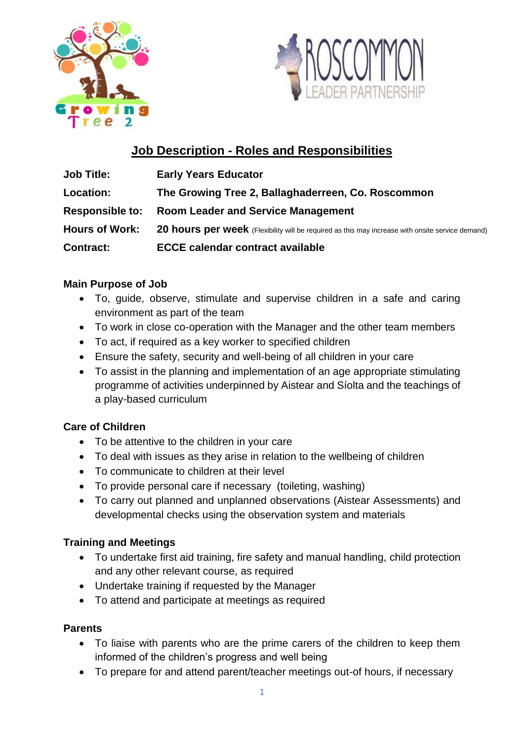



# **Job Description - Roles and Responsibilities**

| <b>Job Title:</b>      | <b>Early Years Educator</b>                                                                      |
|------------------------|--------------------------------------------------------------------------------------------------|
| Location:              | The Growing Tree 2, Ballaghaderreen, Co. Roscommon                                               |
| <b>Responsible to:</b> | <b>Room Leader and Service Management</b>                                                        |
| <b>Hours of Work:</b>  | 20 hours per week (Flexibility will be required as this may increase with onsite service demand) |
| <b>Contract:</b>       | <b>ECCE calendar contract available</b>                                                          |

### **Main Purpose of Job**

- To, guide, observe, stimulate and supervise children in a safe and caring environment as part of the team
- To work in close co-operation with the Manager and the other team members
- To act, if required as a key worker to specified children
- Ensure the safety, security and well-being of all children in your care
- To assist in the planning and implementation of an age appropriate stimulating programme of activities underpinned by Aistear and Síolta and the teachings of a play-based curriculum

# **Care of Children**

- To be attentive to the children in your care
- To deal with issues as they arise in relation to the wellbeing of children
- To communicate to children at their level
- To provide personal care if necessary (toileting, washing)
- To carry out planned and unplanned observations (Aistear Assessments) and developmental checks using the observation system and materials

# **Training and Meetings**

- To undertake first aid training, fire safety and manual handling, child protection and any other relevant course, as required
- Undertake training if requested by the Manager
- To attend and participate at meetings as required

# **Parents**

- To liaise with parents who are the prime carers of the children to keep them informed of the children's progress and well being
- To prepare for and attend parent/teacher meetings out-of hours, if necessary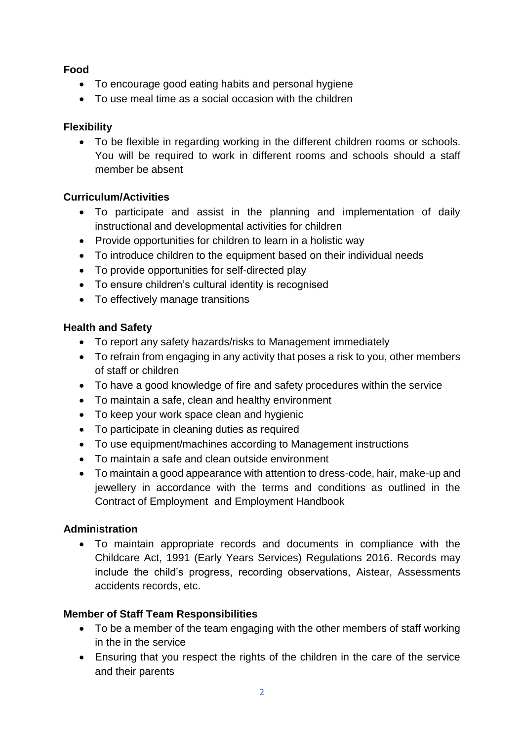# **Food**

- To encourage good eating habits and personal hygiene
- To use meal time as a social occasion with the children

# **Flexibility**

 To be flexible in regarding working in the different children rooms or schools. You will be required to work in different rooms and schools should a staff member be absent

# **Curriculum/Activities**

- To participate and assist in the planning and implementation of daily instructional and developmental activities for children
- Provide opportunities for children to learn in a holistic way
- To introduce children to the equipment based on their individual needs
- To provide opportunities for self-directed play
- To ensure children's cultural identity is recognised
- To effectively manage transitions

# **Health and Safety**

- To report any safety hazards/risks to Management immediately
- To refrain from engaging in any activity that poses a risk to you, other members of staff or children
- To have a good knowledge of fire and safety procedures within the service
- To maintain a safe, clean and healthy environment
- To keep your work space clean and hygienic
- To participate in cleaning duties as required
- To use equipment/machines according to Management instructions
- To maintain a safe and clean outside environment
- To maintain a good appearance with attention to dress-code, hair, make-up and jewellery in accordance with the terms and conditions as outlined in the Contract of Employment and Employment Handbook

# **Administration**

 To maintain appropriate records and documents in compliance with the Childcare Act, 1991 (Early Years Services) Regulations 2016. Records may include the child's progress, recording observations, Aistear, Assessments accidents records, etc.

# **Member of Staff Team Responsibilities**

- To be a member of the team engaging with the other members of staff working in the in the service
- Ensuring that you respect the rights of the children in the care of the service and their parents